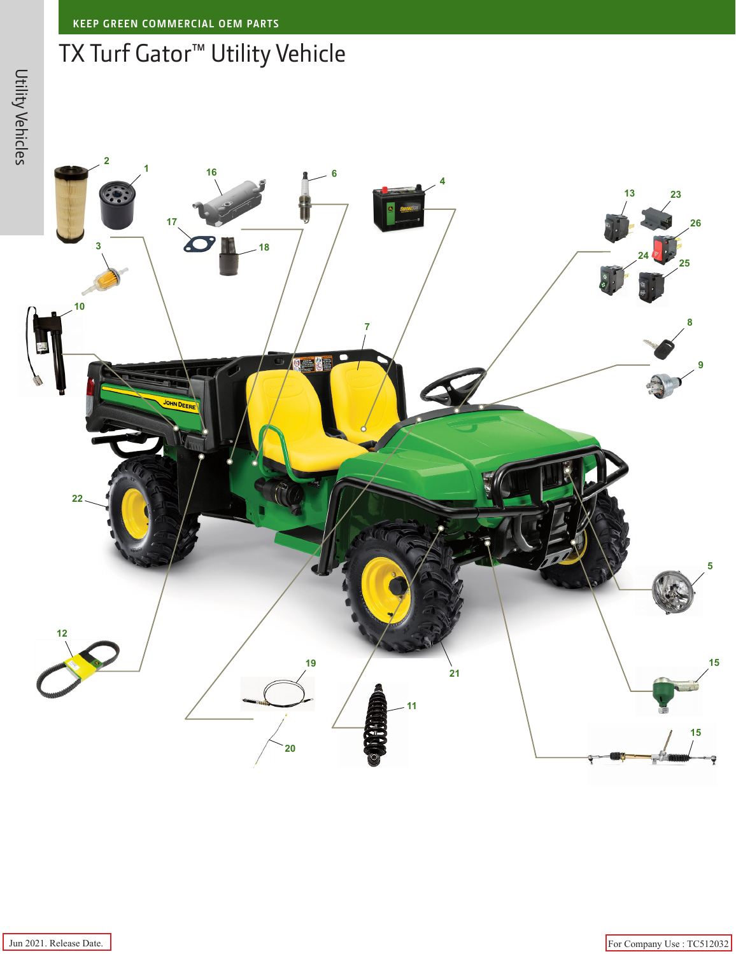## TX Turf Gator™ Utility Vehicle